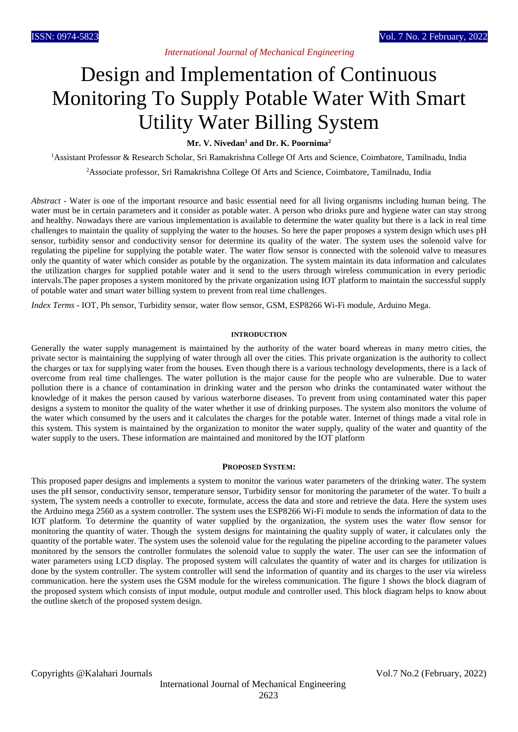*International Journal of Mechanical Engineering*

# Design and Implementation of Continuous Monitoring To Supply Potable Water With Smart Utility Water Billing System

**Mr. V. Nivedan<sup>1</sup> and Dr. K. Poornima<sup>2</sup>**

<sup>1</sup>Assistant Professor & Research Scholar, Sri Ramakrishna College Of Arts and Science, Coimbatore, Tamilnadu, India

<sup>2</sup>Associate professor, Sri Ramakrishna College Of Arts and Science, Coimbatore, Tamilnadu, India

*Abstract* - Water is one of the important resource and basic essential need for all living organisms including human being. The water must be in certain parameters and it consider as potable water. A person who drinks pure and hygiene water can stay strong and healthy. Nowadays there are various implementation is available to determine the water quality but there is a lack in real time challenges to maintain the quality of supplying the water to the houses. So here the paper proposes a system design which uses pH sensor, turbidity sensor and conductivity sensor for determine its quality of the water. The system uses the solenoid valve for regulating the pipeline for supplying the potable water. The water flow sensor is connected with the solenoid valve to measures only the quantity of water which consider as potable by the organization. The system maintain its data information and calculates the utilization charges for supplied potable water and it send to the users through wireless communication in every periodic intervals.The paper proposes a system monitored by the private organization using IOT platform to maintain the successful supply of potable water and smart water billing system to prevent from real time challenges.

*Index Terms* - IOT, Ph sensor, Turbidity sensor, water flow sensor, GSM, ESP8266 Wi-Fi module, Arduino Mega.

# **INTRODUCTION**

Generally the water supply management is maintained by the authority of the water board whereas in many metro cities, the private sector is maintaining the supplying of water through all over the cities. This private organization is the authority to collect the charges or tax for supplying water from the houses. Even though there is a various technology developments, there is a lack of overcome from real time challenges. The water pollution is the major cause for the people who are vulnerable. Due to water pollution there is a chance of contamination in drinking water and the person who drinks the contaminated water without the knowledge of it makes the person caused by various waterborne diseases. To prevent from using contaminated water this paper designs a system to monitor the quality of the water whether it use of drinking purposes. The system also monitors the volume of the water which consumed by the users and it calculates the charges for the potable water. Internet of things made a vital role in this system. This system is maintained by the organization to monitor the water supply, quality of the water and quantity of the water supply to the users. These information are maintained and monitored by the IOT platform

# **PROPOSED SYSTEM:**

This proposed paper designs and implements a system to monitor the various water parameters of the drinking water. The system uses the pH sensor, conductivity sensor, temperature sensor, Turbidity sensor for monitoring the parameter of the water. To built a system, The system needs a controller to execute, formulate, access the data and store and retrieve the data. Here the system uses the Arduino mega 2560 as a system controller. The system uses the ESP8266 Wi-Fi module to sends the information of data to the IOT platform. To determine the quantity of water supplied by the organization, the system uses the water flow sensor for monitoring the quantity of water. Though the system designs for maintaining the quality supply of water, it calculates only the quantity of the portable water. The system uses the solenoid value for the regulating the pipeline according to the parameter values monitored by the sensors the controller formulates the solenoid value to supply the water. The user can see the information of water parameters using LCD display. The proposed system will calculates the quantity of water and its charges for utilization is done by the system controller. The system controller will send the information of quantity and its charges to the user via wireless communication. here the system uses the GSM module for the wireless communication. The figure 1 shows the block diagram of the proposed system which consists of input module, output module and controller used. This block diagram helps to know about the outline sketch of the proposed system design.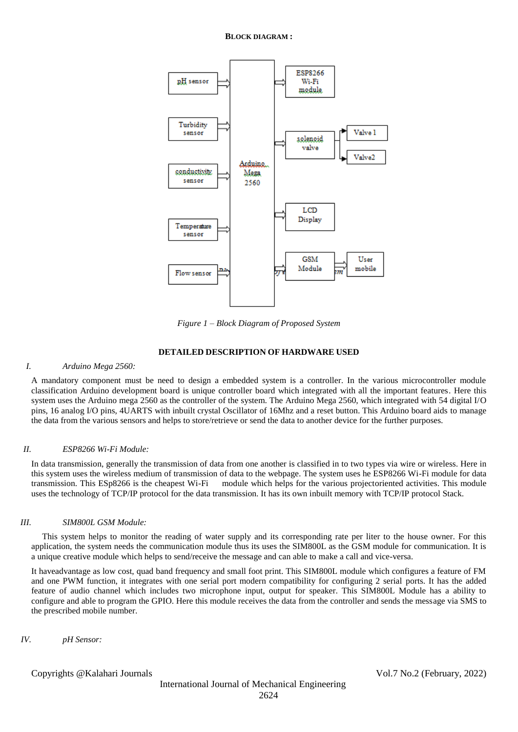

*Figure 1 – Block Diagram of Proposed System*

# **DETAILED DESCRIPTION OF HARDWARE USED**

#### *I. Arduino Mega 2560:*

A mandatory component must be need to design a embedded system is a controller. In the various microcontroller module classification Arduino development board is unique controller board which integrated with all the important features. Here this system uses the Arduino mega 2560 as the controller of the system. The Arduino Mega 2560, which integrated with 54 digital I/O pins, 16 analog I/O pins, 4UARTS with inbuilt crystal Oscillator of 16Mhz and a reset button. This Arduino board aids to manage the data from the various sensors and helps to store/retrieve or send the data to another device for the further purposes.

# *II. ESP8266 Wi-Fi Module:*

In data transmission, generally the transmission of data from one another is classified in to two types via wire or wireless. Here in this system uses the wireless medium of transmission of data to the webpage. The system uses he ESP8266 Wi-Fi module for data transmission. This ESp8266 is the cheapest Wi-Fi module which helps for the various projectoriented activities. This module uses the technology of TCP/IP protocol for the data transmission. It has its own inbuilt memory with TCP/IP protocol Stack.

#### *III. SIM800L GSM Module:*

 This system helps to monitor the reading of water supply and its corresponding rate per liter to the house owner. For this application, the system needs the communication module thus its uses the SIM800L as the GSM module for communication. It is a unique creative module which helps to send/receive the message and can able to make a call and vice-versa.

It haveadvantage as low cost, quad band frequency and small foot print. This SIM800L module which configures a feature of FM and one PWM function, it integrates with one serial port modern compatibility for configuring 2 serial ports. It has the added feature of audio channel which includes two microphone input, output for speaker. This SIM800L Module has a ability to configure and able to program the GPIO. Here this module receives the data from the controller and sends the message via SMS to the prescribed mobile number.

*IV. pH Sensor:*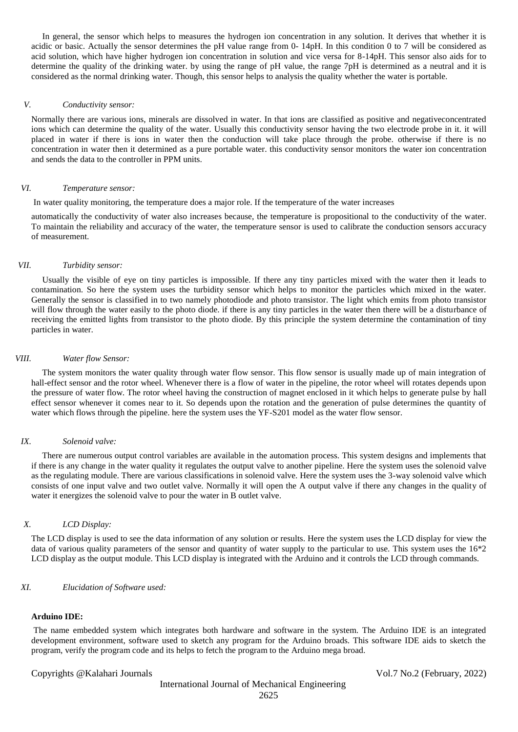In general, the sensor which helps to measures the hydrogen ion concentration in any solution. It derives that whether it is acidic or basic. Actually the sensor determines the pH value range from 0- 14pH. In this condition 0 to 7 will be considered as acid solution, which have higher hydrogen ion concentration in solution and vice versa for 8-14pH. This sensor also aids for to determine the quality of the drinking water. by using the range of pH value, the range 7pH is determined as a neutral and it is considered as the normal drinking water. Though, this sensor helps to analysis the quality whether the water is portable.

#### *V. Conductivity sensor:*

Normally there are various ions, minerals are dissolved in water. In that ions are classified as positive and negativeconcentrated ions which can determine the quality of the water. Usually this conductivity sensor having the two electrode probe in it. it will placed in water if there is ions in water then the conduction will take place through the probe. otherwise if there is no concentration in water then it determined as a pure portable water. this conductivity sensor monitors the water ion concentration and sends the data to the controller in PPM units.

# *VI. Temperature sensor:*

In water quality monitoring, the temperature does a major role. If the temperature of the water increases

automatically the conductivity of water also increases because, the temperature is propositional to the conductivity of the water. To maintain the reliability and accuracy of the water, the temperature sensor is used to calibrate the conduction sensors accuracy of measurement.

#### *VII. Turbidity sensor:*

 Usually the visible of eye on tiny particles is impossible. If there any tiny particles mixed with the water then it leads to contamination. So here the system uses the turbidity sensor which helps to monitor the particles which mixed in the water. Generally the sensor is classified in to two namely photodiode and photo transistor. The light which emits from photo transistor will flow through the water easily to the photo diode, if there is any tiny particles in the water then there will be a disturbance of receiving the emitted lights from transistor to the photo diode. By this principle the system determine the contamination of tiny particles in water.

# *VIII. Water flow Sensor:*

 The system monitors the water quality through water flow sensor. This flow sensor is usually made up of main integration of hall-effect sensor and the rotor wheel. Whenever there is a flow of water in the pipeline, the rotor wheel will rotates depends upon the pressure of water flow. The rotor wheel having the construction of magnet enclosed in it which helps to generate pulse by hall effect sensor whenever it comes near to it. So depends upon the rotation and the generation of pulse determines the quantity of water which flows through the pipeline. here the system uses the YF-S201 model as the water flow sensor.

#### *IX. Solenoid valve:*

 There are numerous output control variables are available in the automation process. This system designs and implements that if there is any change in the water quality it regulates the output valve to another pipeline. Here the system uses the solenoid valve as the regulating module. There are various classifications in solenoid valve. Here the system uses the 3-way solenoid valve which consists of one input valve and two outlet valve. Normally it will open the A output valve if there any changes in the quality of water it energizes the solenoid valve to pour the water in B outlet valve.

#### *X. LCD Display:*

The LCD display is used to see the data information of any solution or results. Here the system uses the LCD display for view the data of various quality parameters of the sensor and quantity of water supply to the particular to use. This system uses the 16\*2 LCD display as the output module. This LCD display is integrated with the Arduino and it controls the LCD through commands.

## *XI. Elucidation of Software used:*

# **Arduino IDE:**

The name embedded system which integrates both hardware and software in the system. The Arduino IDE is an integrated development environment, software used to sketch any program for the Arduino broads. This software IDE aids to sketch the program, verify the program code and its helps to fetch the program to the Arduino mega broad.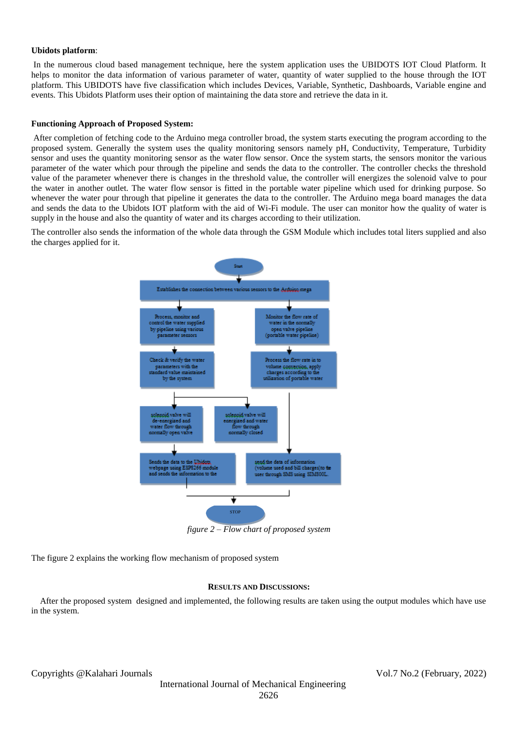# **Ubidots platform**:

In the numerous cloud based management technique, here the system application uses the UBIDOTS IOT Cloud Platform. It helps to monitor the data information of various parameter of water, quantity of water supplied to the house through the IOT platform. This UBIDOTS have five classification which includes Devices, Variable, Synthetic, Dashboards, Variable engine and events. This Ubidots Platform uses their option of maintaining the data store and retrieve the data in it.

# **Functioning Approach of Proposed System:**

After completion of fetching code to the Arduino mega controller broad, the system starts executing the program according to the proposed system. Generally the system uses the quality monitoring sensors namely pH, Conductivity, Temperature, Turbidity sensor and uses the quantity monitoring sensor as the water flow sensor. Once the system starts, the sensors monitor the various parameter of the water which pour through the pipeline and sends the data to the controller. The controller checks the threshold value of the parameter whenever there is changes in the threshold value, the controller will energizes the solenoid valve to pour the water in another outlet. The water flow sensor is fitted in the portable water pipeline which used for drinking purpose. So whenever the water pour through that pipeline it generates the data to the controller. The Arduino mega board manages the data and sends the data to the Ubidots IOT platform with the aid of Wi-Fi module. The user can monitor how the quality of water is supply in the house and also the quantity of water and its charges according to their utilization.

The controller also sends the information of the whole data through the GSM Module which includes total liters supplied and also the charges applied for it.



*figure 2 – Flow chart of proposed system*

The figure 2 explains the working flow mechanism of proposed system

# **RESULTS AND DISCUSSIONS:**

 After the proposed system designed and implemented, the following results are taken using the output modules which have use in the system.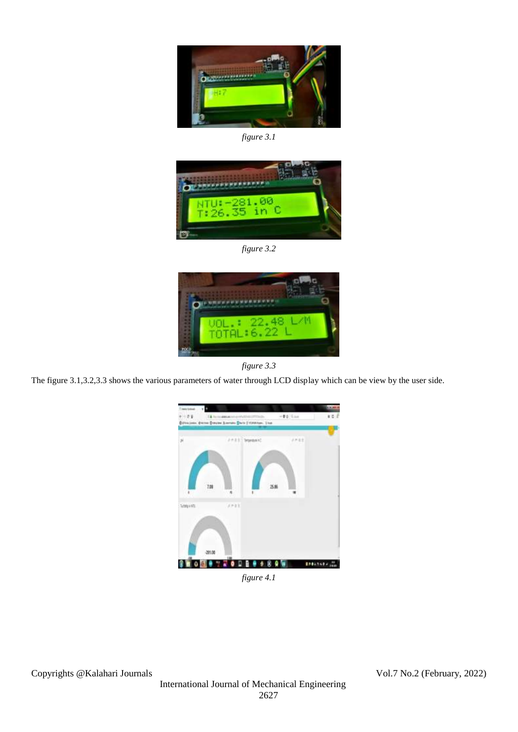

*figure 3.1*



*figure 3.2*



*figure 3.3*

The figure 3.1,3.2,3.3 shows the various parameters of water through LCD display which can be view by the user side.



*figure 4.1*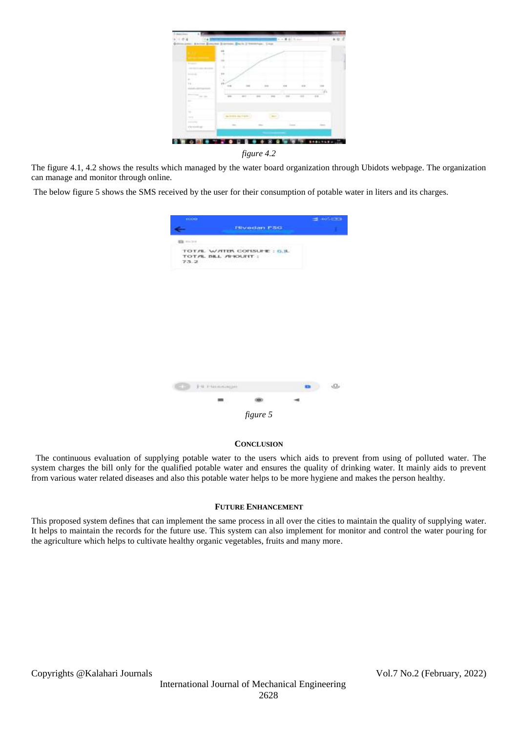

The figure 4.1, 4.2 shows the results which managed by the water board organization through Ubidots webpage. The organization can manage and monitor through online.

The below figure 5 shows the SMS received by the user for their consumption of potable water in liters and its charges.

| $-$ 0100-001     |                                                  |                            |                               | $-1.0533$             |
|------------------|--------------------------------------------------|----------------------------|-------------------------------|-----------------------|
|                  |                                                  | <b>Eliverdan ESG</b>       |                               |                       |
| <b>EX 100315</b> |                                                  |                            |                               |                       |
| 75.2             | TOTAL WATER CONSULT: G.R.<br>TOTAL BILL AFIOUNT: | <b>Carl Carl Committee</b> | Committee of the State of the |                       |
|                  |                                                  |                            |                               |                       |
|                  |                                                  |                            |                               |                       |
|                  |                                                  |                            |                               |                       |
|                  |                                                  |                            |                               |                       |
|                  |                                                  |                            |                               |                       |
|                  |                                                  |                            |                               |                       |
|                  | <b>CONTRACTOR</b>                                |                            |                               | $\Omega$<br><b>CB</b> |
|                  |                                                  |                            |                               |                       |
|                  |                                                  |                            |                               |                       |

# **CONCLUSION**

 The continuous evaluation of supplying potable water to the users which aids to prevent from using of polluted water. The system charges the bill only for the qualified potable water and ensures the quality of drinking water. It mainly aids to prevent from various water related diseases and also this potable water helps to be more hygiene and makes the person healthy.

# **FUTURE ENHANCEMENT**

This proposed system defines that can implement the same process in all over the cities to maintain the quality of supplying water. It helps to maintain the records for the future use. This system can also implement for monitor and control the water pouring for the agriculture which helps to cultivate healthy organic vegetables, fruits and many more.